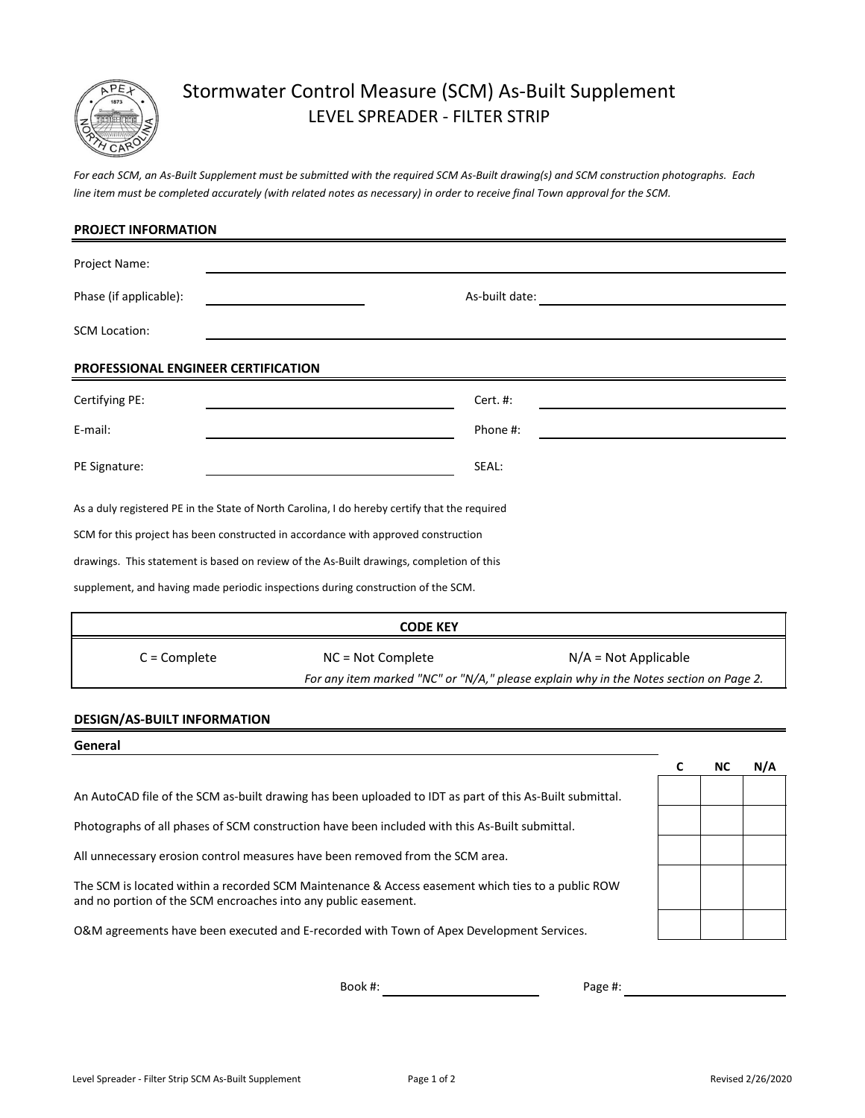

## Stormwater Control Measure (SCM) As-Built Supplement LEVEL SPREADER - FILTER STRIP

*For each SCM, an As-Built Supplement must be submitted with the required SCM As-Built drawing(s) and SCM construction photographs. Each line item must be completed accurately (with related notes as necessary) in order to receive final Town approval for the SCM.*

| <b>PROJECT INFORMATION</b>                                                                    |                   |                |                                                                                                                 |
|-----------------------------------------------------------------------------------------------|-------------------|----------------|-----------------------------------------------------------------------------------------------------------------|
| Project Name:                                                                                 |                   |                |                                                                                                                 |
| Phase (if applicable):                                                                        |                   | As-built date: |                                                                                                                 |
| <b>SCM Location:</b>                                                                          |                   |                |                                                                                                                 |
| PROFESSIONAL ENGINEER CERTIFICATION                                                           |                   |                |                                                                                                                 |
| Certifying PE:                                                                                |                   | Cert. #:       |                                                                                                                 |
| E-mail:                                                                                       |                   | Phone #:       |                                                                                                                 |
| PE Signature:                                                                                 |                   | SEAL:          |                                                                                                                 |
| As a duly registered PE in the State of North Carolina, I do hereby certify that the required |                   |                |                                                                                                                 |
| SCM for this project has been constructed in accordance with approved construction            |                   |                |                                                                                                                 |
| drawings. This statement is based on review of the As-Built drawings, completion of this      |                   |                |                                                                                                                 |
| supplement, and having made periodic inspections during construction of the SCM.              |                   |                |                                                                                                                 |
|                                                                                               | <b>CODE KEY</b>   |                |                                                                                                                 |
| $C =$ Complete                                                                                | NC = Not Complete |                | $N/A = Not Applicable$<br>For any item marked "NC" or "N/A," please explain why in the Notes section on Page 2. |
| <b>DESIGN/AS-BUILT INFORMATION</b>                                                            |                   |                |                                                                                                                 |
| General                                                                                       |                   |                |                                                                                                                 |

An AutoCAD file of the SCM as-built drawing has been uploaded to IDT as part of this As-Built submittal.

Photographs of all phases of SCM construction have been included with this As-Built submittal.

All unnecessary erosion control measures have been removed from the SCM area.

and no portion of the SCM encroaches into any public easement. The SCM is located within a recorded SCM Maintenance & Access easement which ties to a public ROW

O&M agreements have been executed and E-recorded with Town of Apex Development Services.

Book #:

Page #:

**C NC N/A**